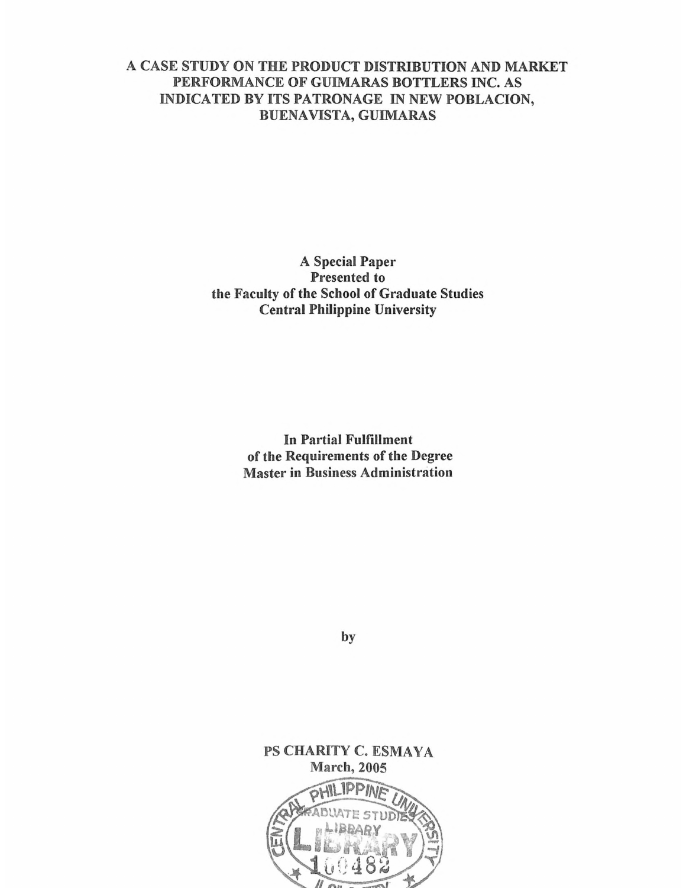## **A CASE STUDY ON THE PRODUCT DISTRIBUTION AND MARKET PERFORMANCE OF GUIMARAS BOTTLERS INC. AS INDICATED BY ITS PATRONAGE IN NEW POBLACION, BUENAVISTA, GUIMARAS**

**A Special Paper Presented to the Faculty of the School of Graduate Studies Central Philippine University**

> **In Partial Fulfillment of the Requirements of the Degree Master in Business Administration**

> > **by**

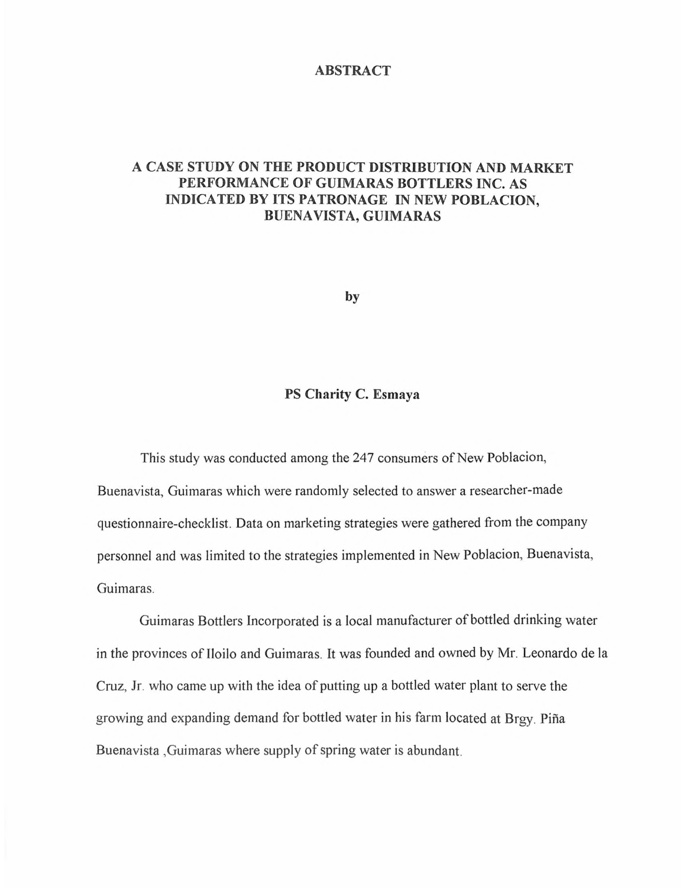## **ABSTRACT**

## **A CASE STUDY ON THE PRODUCT DISTRIBUTION AND MARKET PERFORMANCE OF GUIMARAS BOTTLERS INC. AS INDICATED BY ITS PATRONAGE IN NEW POBLACION, BUENAVISTA, GUIMARAS**

**by**

## **PS Charity C. Esmaya**

This study was conducted among the 247 consumers of New Poblacion,

Buenavista, Guimaras which were randomly selected to answer a researcher-made questionnaire-checklist. Data on marketing strategies were gathered from the company personnel and was limited to the strategies implemented in New Poblacion, Buenavista, Guimaras.

Guimaras Bottlers Incorporated is a local manufacturer of bottled drinking water in the provinces of Iloilo and Guimaras. It was founded and owned by Mr. Leonardo de la Cruz, Jr. who came up with the idea of putting up a bottled water plant to serve the growing and expanding demand for bottled water in his farm located at Brgy. Piña Buenavista, Guimaras where supply of spring water is abundant.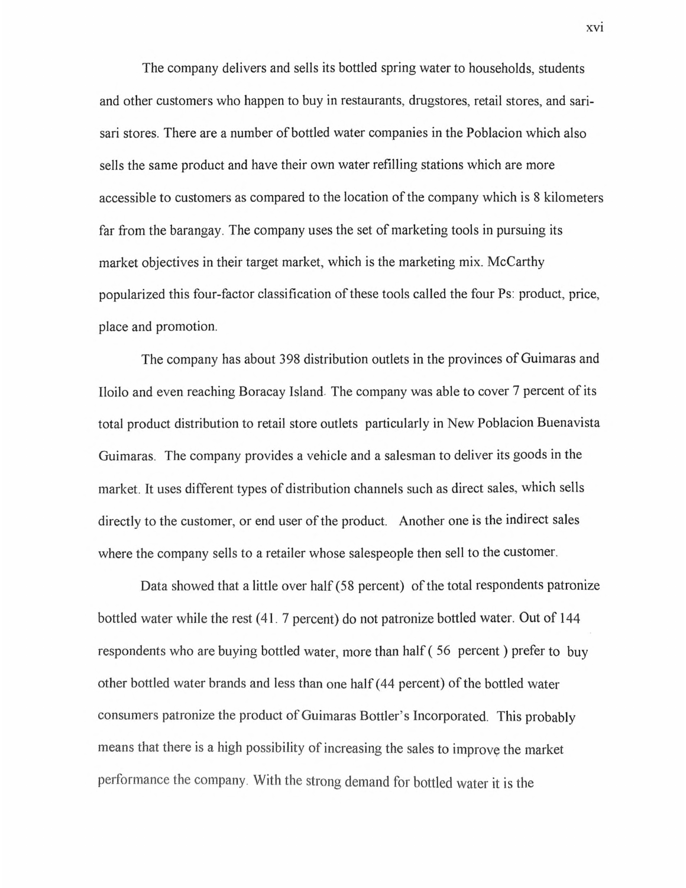The company delivers and sells its bottled spring water to households, students and other customers who happen to buy in restaurants, drugstores, retail stores, and sarisari stores. There are a number of bottled water companies in the Poblacion which also sells the same product and have their own water refilling stations which are more accessible to customers as compared to the location of the company which is 8 kilometers far from the barangay. The company uses the set of marketing tools in pursuing its market objectives in their target market, which is the marketing mix. McCarthy popularized this four-factor classification of these tools called the four Ps: product, price, place and promotion.

The company has about 398 distribution outlets in the provinces of Guimaras and Iloilo and even reaching Boracay Island. The company was able to cover 7 percent of its total product distribution to retail store outlets particularly in New Poblacion Buenavista Guimaras. The company provides a vehicle and a salesman to deliver its goods in the market. It uses different types of distribution channels such as direct sales, which sells directly to the customer, or end user of the product. Another one is the indirect sales where the company sells to a retailer whose salespeople then sell to the customer.

Data showed that a little over half (58 percent) of the total respondents patronize bottled water while the rest (41. 7 percent) do not patronize bottled water. Out of 144 respondents who are buying bottled water, more than half ( <sup>56</sup> percent) prefer to buy other bottled water brands and less than one half (44 percent) of the bottled water consumers patronize the product of Guimaras Bottler's Incorporated. This probably means that there is a high possibility of increasing the sales to improve the market performance the company. With the strong demand for bottled water it is the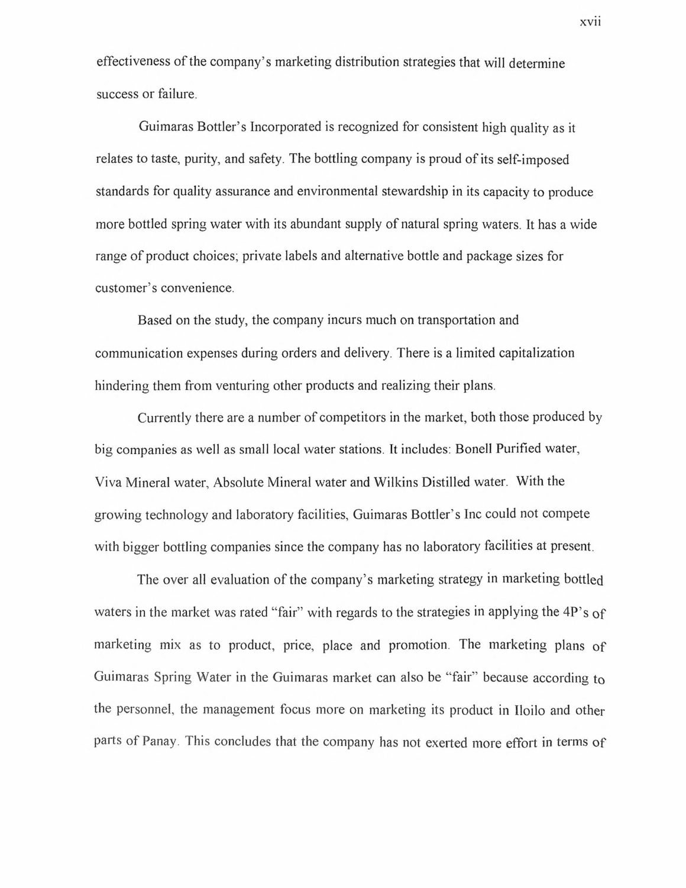effectiveness of the company's marketing distribution strategies that will determine success or failure.

Guimaras Bottler's Incorporated is recognized for consistent high quality as it relates to taste, purity, and safety. The bottling company is proud of its self-imposed standards for quality assurance and environmental stewardship in its capacity to produce more bottled spring water with its abundant supply of natural spring waters. It has a wide range of product choices; private labels and alternative bottle and package sizes for customer's convenience.

Based on the study, the company incurs much on transportation and communication expenses during orders and delivery. There is a limited capitalization hindering them from venturing other products and realizing their plans.

Currently there are a number of competitors in the market, both those produced by big companies as well as small local water stations. It includes: Bonell Purified water, Viva Mineral water, Absolute Mineral water and Wilkins Distilled water. With the growing technology and laboratory facilities, Guimaras Bottler's Inc could not compete with bigger bottling companies since the company has no laboratory facilities at present.

The over all evaluation of the company's marketing strategy in marketing bottled waters in the market was rated "fair" with regards to the strategies in applying the 4P's of marketing mix as to product, price, place and promotion. The marketing plans of Guimaras Spring Water in the Guimaras market can also be "fair" because according to the personnel, the management focus more on marketing its product in Iloilo and other parts of Panay. This concludes that the company has not exerted more effort in terms of